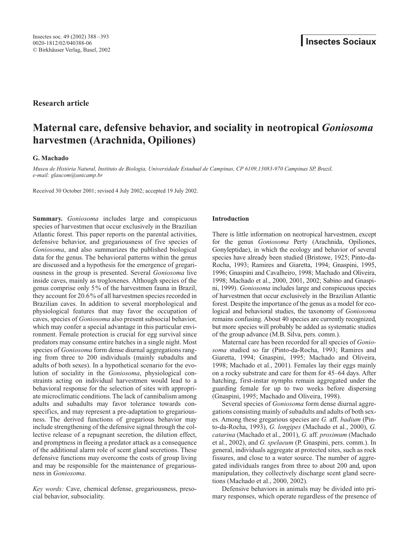# **Research article**

# **Maternal care, defensive behavior, and sociality in neotropical** *Goniosoma* **harvestmen (Arachnida, Opiliones)**

## **G. Machado**

*Museu de História Natural, Instituto de Biologia, Universidade Estadual de Campinas, CP 6109,13083-970 Campinas SP, Brazil, e-mail: glaucom@unicamp.br*

Received 30 October 2001; revised 4 July 2002; accepted 19 July 2002.

**Summary.** *Goniosoma* includes large and conspicuous species of harvestmen that occur exclusively in the Brazilian Atlantic forest. This paper reports on the parental activities, defensive behavior, and gregariousness of five species of *Goniosoma*, and also summarizes the published biological data for the genus. The behavioral patterns within the genus are discussed and a hypothesis for the emergence of gregariousness in the group is presented. Several *Goniosoma* live inside caves, mainly as trogloxenes. Although species of the genus comprise only 5% of the harvestmen fauna in Brazil, they account for 20.6% of all harvestmen species recorded in Brazilian caves. In addition to several morphological and physiological features that may favor the occupation of caves, species of *Goniosoma* also present subsocial behavior, which may confer a special advantage in this particular environment. Female protection is crucial for egg survival since predators may consume entire batches in a single night. Most species of *Goniosoma* form dense diurnal aggregations ranging from three to 200 individuals (mainly subadults and adults of both sexes). In a hypothetical scenario for the evolution of sociality in the *Goniosoma*, physiological constraints acting on individual harvestmen would lead to a behavioral response for the selection of sites with appropriate microclimatic conditions. The lack of cannibalism among adults and subadults may favor tolerance towards conspecifics, and may represent a pre-adaptation to gregariousness. The derived functions of gregarious behavior may include strengthening of the defensive signal through the collective release of a repugnant secretion, the dilution effect, and promptness in fleeing a predator attack as a consequence of the additional alarm role of scent gland secretions. These defensive functions may overcome the costs of group living and may be responsible for the maintenance of gregariousness in *Goniosoma*.

*Key words:* Cave, chemical defense, gregariousness, presocial behavior, subsociality.

## **Introduction**

There is little information on neotropical harvestmen, except for the genus *Goniosoma* Perty (Arachnida, Opiliones, Gonyleptidae), in which the ecology and behavior of several species have already been studied (Bristowe, 1925; Pinto-da-Rocha, 1993; Ramires and Giaretta, 1994; Gnaspini, 1995, 1996; Gnaspini and Cavalheiro, 1998; Machado and Oliveira, 1998; Machado et al., 2000, 2001, 2002; Sabino and Gnaspini, 1999). *Goniosoma* includes large and conspicuous species of harvestmen that occur exclusively in the Brazilian Atlantic forest. Despite the importance of the genus as a model for ecological and behavioral studies, the taxonomy of *Goniosoma* remains confusing. About 40 species are currently recognized, but more species will probably be added as systematic studies of the group advance (M.B. Silva, pers. comm.).

Maternal care has been recorded for all species of *Goniosoma* studied so far (Pinto-da-Rocha, 1993; Ramires and Giaretta, 1994; Gnaspini, 1995; Machado and Oliveira, 1998; Machado et al., 2001). Females lay their eggs mainly on a rocky substrate and care for them for 45–64 days. After hatching, first-instar nymphs remain aggregated under the guarding female for up to two weeks before dispersing (Gnaspini, 1995; Machado and Oliveira, 1998).

Several species of *Goniosoma* form dense diurnal aggregations consisting mainly of subadults and adults of both sexes. Among these gregarious species are *G.* aff. *badium* (Pinto-da-Rocha, 1993), *G. longipes* (Machado et al., 2000), *G. catarina* (Machado et al., 2001), *G.* aff. *proximum* (Machado et al., 2002), and *G. spelaeum* (P. Gnaspini, pers. comm.). In general, individuals aggregate at protected sites, such as rock fissures, and close to a water source. The number of aggregated individuals ranges from three to about 200 and, upon manipulation, they collectively discharge scent gland secretions (Machado et al., 2000, 2002).

Defensive behaviors in animals may be divided into primary responses, which operate regardless of the presence of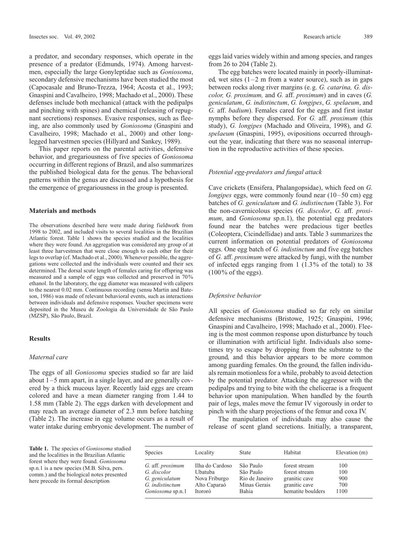a predator, and secondary responses, which operate in the presence of a predator (Edmunds, 1974). Among harvestmen, especially the large Gonyleptidae such as *Goniosoma*, secondary defensive mechanisms have been studied the most (Capocasale and Bruno-Trezza, 1964; Acosta et al., 1993; Gnaspini and Cavalheiro, 1998; Machado et al., 2000). These defenses include both mechanical (attack with the pedipalps and pinching with spines) and chemical (releasing of repugnant secretions) responses. Evasive responses, such as fleeing, are also commonly used by *Goniosoma* (Gnaspini and Cavalheiro, 1998; Machado et al., 2000) and other longlegged harvestmen species (Hillyard and Sankey, 1989).

This paper reports on the parental activities, defensive behavior, and gregariousness of five species of *Goniosoma* occurring in different regions of Brazil, and also summarizes the published biological data for the genus. The behavioral patterns within the genus are discussed and a hypothesis for the emergence of gregariousness in the group is presented.

## **Materials and methods**

The observations described here were made during fieldwork from 1998 to 2002, and included visits to several localities in the Brazilian Atlantic forest. Table 1 shows the species studied and the localities where they were found. An aggregation was considered any group of at least three harvestmen that were close enough to each other for their legs to overlap (cf. Machado et al., 2000). Whenever possible, the aggregations were collected and the individuals were counted and their sex determined. The dorsal scute length of females caring for offspring was measured and a sample of eggs was collected and preserved in 70% ethanol. In the laboratory, the egg diameter was measured with calipers to the nearest 0.02 mm. Continuous recording (sensu Martin and Bateson, 1986) was made of relevant behavioral events, such as interactions between individuals and defensive responses. Voucher specimens were deposited in the Museu de Zoologia da Universidade de São Paulo (MZSP), São Paulo, Brazil.

## **Results**

#### *Maternal care*

The eggs of all *Goniosoma* species studied so far are laid about 1–5 mm apart, in a single layer, and are generally covered by a thick mucous layer. Recently laid eggs are cream colored and have a mean diameter ranging from 1.44 to 1.58 mm (Table 2). The eggs darken with development and may reach an average diameter of 2.3 mm before hatching (Table 2). The increase in egg volume occurs as a result of water intake during embryonic development. The number of eggs laid varies widely within and among species, and ranges from 26 to 204 (Table 2).

The egg batches were located mainly in poorly-illuminated, wet sites  $(1-2 \text{ m from a water source})$ , such as in gaps between rocks along river margins (e.g. *G. catarina, G. discolor, G. proximum,* and *G.* aff. *proximum*) and in caves (*G. geniculatum*, *G. indistinctum*, *G. longipes*, *G. spelaeum*, and *G.* aff. *badium*). Females cared for the eggs and first instar nymphs before they dispersed. For *G.* aff. *proximum* (this study), *G. longipes* (Machado and Oliveira, 1998), and *G. spelaeum* (Gnaspini, 1995), ovipositions occurred throughout the year, indicating that there was no seasonal interruption in the reproductive activities of these species.

#### *Potential egg-predators and fungal attack*

Cave crickets (Ensifera, Phalangopsidae), which feed on *G. longipes* eggs, were commonly found near (10–50 cm) egg batches of *G. geniculatum* and *G. indistinctum* (Table 3). For the non-cavernicolous species (*G. discolor*, *G.* aff. *proximum*, and *Goniosoma* sp.n.1), the potential egg predators found near the batches were predacious tiger beetles (Coleoptera, Cicindellidae) and ants. Table 3 summarizes the current information on potential predators of *Goniosoma* eggs. One egg batch of *G. indistinctum* and five egg batches of *G.* aff. *proximum* were attacked by fungi, with the number of infected eggs ranging from 1 (1.3% of the total) to 38  $(100\% \text{ of the eggs}).$ 

## *Defensive behavior*

All species of *Goniosoma* studied so far rely on similar defensive mechanisms (Bristowe, 1925; Gnaspini, 1996; Gnaspini and Cavalheiro, 1998; Machado et al., 2000). Fleeing is the most common response upon disturbance by touch or illumination with artificial light. Individuals also sometimes try to escape by dropping from the substrate to the ground, and this behavior appears to be more common among guarding females. On the ground, the fallen individuals remain motionless for a while, probably to avoid detection by the potential predator. Attacking the aggressor with the pedipalps and trying to bite with the chelicerae is a frequent behavior upon manipulation. When handled by the fourth pair of legs, males move the femur IV vigorously in order to pinch with the sharp projections of the femur and coxa IV.

The manipulation of individuals may also cause the release of scent gland secretions. Initially, a transparent,

**Table 1.** The species of *Goniosoma* studied and the localities in the Brazilian Atlantic forest where they were found. *Goniosoma* sp.n.1 is a new species (M.B. Silva, pers. comm.) and the biological notes presented here precede its formal description

| Species          | Locality        | <b>State</b>   | Habitat           | Elevation (m) |
|------------------|-----------------|----------------|-------------------|---------------|
| G. aff. proximum | Ilha do Cardoso | São Paulo      | forest stream     | 100           |
| G. discolor      | Ubatuba         | São Paulo      | forest stream     | 100           |
| G. geniculatum   | Nova Friburgo   | Rio de Janeiro | granitic cave     | 900           |
| G. indistinctum  | Alto Caparaó    | Minas Gerais   | granitic cave     | 700           |
| Goniosoma sp.n.1 | Itororó         | Bahia          | hematite boulders | 1100          |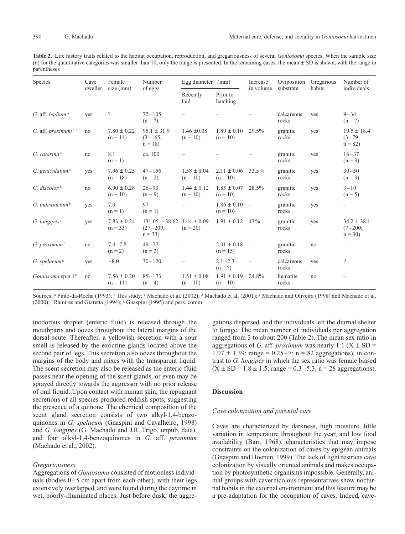**Table 2.** Life history traits related to the habitat occupation, reproduction, and gregariousness of several *Goniosoma* species. When the sample size (n) for the quantitative categories was smaller than 10, only the range is presented. In the remaining cases, the mean  $\pm$  SD is shown, with the range in parentheses

| Species                          | Cave<br>dweller | Female<br>size (mm)           | Number<br>of eggs                            | Egg diameter<br>(mm)          |                               | Increase<br>in volume    | Oviposition<br>substrate | Gregarious<br>habits | Number of<br>individuals                 |
|----------------------------------|-----------------|-------------------------------|----------------------------------------------|-------------------------------|-------------------------------|--------------------------|--------------------------|----------------------|------------------------------------------|
|                                  |                 |                               |                                              | Recently<br>laid              | Prior to<br>hatching          |                          |                          |                      |                                          |
| G. aff. badium <sup>a</sup>      | yes             | $\overline{?}$                | $72 - 105$<br>$(n = ?)$                      |                               |                               |                          | calcareous<br>rocks      | yes                  | $9 - 34$<br>$(n = ?)$                    |
| G. aff. proximum <sup>b, c</sup> | no              | $7.80 \pm 0.22$<br>$(n = 14)$ | $95.1 \pm 31.9$<br>$(3-165)$<br>$n = 18$     | $1.46 \pm 0.08$<br>$(n = 10)$ | $1.89 \pm 0.10$<br>$(n = 10)$ | 29.5%                    | granitic<br>rocks        | yes                  | $19.5 \pm 18.4$<br>$(3-79;$<br>$n = 82$  |
| $G.$ catarina <sup>d</sup>       | no              | 8.1<br>$(n=1)$                | ca. 100                                      |                               |                               |                          | granitic<br>rocks        | yes                  | $16 - 37$<br>$(n = 3)$                   |
| G. geniculatum $b$               | yes             | $7.96 \pm 0.25$<br>$(n = 18)$ | $47 - 156$<br>$(n = 2)$                      | $1.58 \pm 0.04$<br>$(n = 10)$ | $2.11 \pm 0.06$<br>$(n = 10)$ | 33.5%                    | granitic<br>rocks        | yes                  | $30 - 50$<br>$(n = 3)$                   |
| G. discolor $\frac{b}{b}$        | no              | $6.90 \pm 0.28$<br>$(n = 10)$ | $26 - 93$<br>$(n = 9)$                       | $1.44 \pm 0.12$<br>$(n = 10)$ | $1.85 \pm 0.07$<br>$(n = 10)$ | 28.5%                    | granitic<br>rocks        | yes                  | $3 - 10$<br>$(n = 5)$                    |
| G. indistinctum <sup>b</sup>     | yes             | 7.0<br>$(n=1)$                | 97<br>$(n=1)$                                |                               | $1.86 \pm 0.10$<br>$(n = 10)$ | $\overline{\phantom{m}}$ | granitic<br>rocks        | yes                  |                                          |
| G. longipes $e$                  | yes             | $7.83 \pm 0.24$<br>$(n = 33)$ | $131.05 \pm 38.62$<br>$(27-209;$<br>$n = 33$ | $1.44 \pm 0.09$<br>$(n = 20)$ | $1.91 \pm 0.12$               | 43%                      | granitic<br>rocks        | yes                  | $34.2 \pm 38.1$<br>$(7-200;$<br>$n = 30$ |
| $G.$ proximum $f$                | no              | $7.4 - 7.8$<br>$(n = 2)$      | $49 - 77$<br>$(n = 3)$                       |                               | $2.01 \pm 0.18$<br>$(n = 15)$ | $\overline{\phantom{m}}$ | granitic<br>rocks        | no                   |                                          |
| $G.$ spelaeum <sup>g</sup>       | yes             | $\sim 8.0$                    | $30 - 120$                                   |                               | $2.1 - 2.3$<br>$(n = ?)$      | $\overline{\phantom{0}}$ | calcareous<br>rocks      | yes                  | $\overline{\mathcal{E}}$                 |
| Goniosoma sp.n.1 $b$             | no              | $7.56 \pm 0.20$<br>$(n = 11)$ | $85 - 173$<br>$(n = 4)$                      | $1.51 \pm 0.08$<br>$(n = 10)$ | $1.91 \pm 0.19$<br>$(n = 10)$ | 24.8%                    | hematite<br>rocks        | no                   |                                          |

Sources: a Pinto-da-Rocha (1993); b This study; c Machado et al. (2002); d Machado et al. (2001); c Machado and Oliveira (1998) and Machado et al. (2000);  $f$  Ramires and Giaretta (1994);  $g$  Gnaspini (1995) and pers. comm.

inodorous droplet (enteric fluid) is released through the mouthparts and oozes throughout the lateral margins of the dorsal scute. Thereafter, a yellowish secretion with a sour smell is released by the exocrine glands located above the second pair of legs. This secretion also oozes throughout the margins of the body and mixes with the transparent liquid. The scent secretion may also be released as the enteric fluid passes near the opening of the scent glands, or even may be sprayed directly towards the aggressor with no prior release of oral liquid. Upon contact with human skin, the repugnant secretions of all species produced reddish spots, suggesting the presence of a quinone. The chemical composition of the scent gland secretion consists of two alkyl-1,4-benzoquinones in *G. spelaeum* (Gnaspini and Cavalheiro, 1998) and *G. longipes* (G. Machado and J.R. Trigo, unpub. data), and four alkyl-1,4-benzoquinones in *G.* aff. *proximum* (Machado et al., 2002).

## *Gregariousness*

Aggregations of *Goniosoma* consisted of motionless individuals (bodies  $0-5$  cm apart from each other), with their legs extensively overlapped, and were found during the daytime in wet, poorly-illuminated places. Just before dusk, the aggregations dispersed, and the individuals left the diurnal shelter to forage. The mean number of individuals per aggregation ranged from 3 to about 200 (Table 2). The mean sex ratio in aggregations of *G*. aff. *proximum* was nearly 1:1 ( $X \pm SD =$  $1.07 \pm 1.39$ ; range = 0.25-7; n = 82 aggregations), in contrast to *G. longipes* in which the sex ratio was female biased  $(X \pm SD = 1.8 \pm 1.5$ ; range = 0.3–5.3; n = 28 aggregations).

## **Discussion**

## *Cave colonization and parental care*

Caves are characterized by darkness, high moisture, little variation in temperature throughout the year, and low food availability (Barr, 1968), characteristics that may impose constraints on the colonization of caves by epigean animals (Gnaspini and Hoenen, 1999). The lack of light restricts cave colonization by visually oriented animals and makes occupation by photosynthetic organisms impossible. Generally, animal groups with cavernicolous representatives show nocturnal habits in the external environment and this feature may be a pre-adaptation for the occupation of caves. Indeed, cave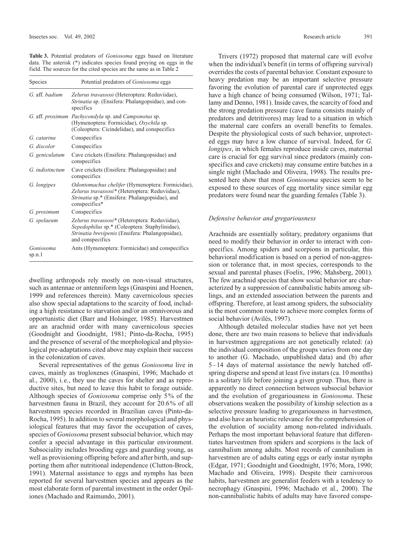**Table 3.** Potential predators of *Goniosoma* eggs based on literature data. The asterisk (\*) indicates species found preying on eggs in the field. The sources for the cited species are the same as in Table 2

| Species             | Potential predators of <i>Goniosoma</i> eggs                                                                                                                                 |
|---------------------|------------------------------------------------------------------------------------------------------------------------------------------------------------------------------|
| G. aff. badium      | Zelurus travassosi (Heteroptera: Reduviidae),<br><i>Strinatia</i> sp. (Ensifera: Phalangopsidae), and con-<br>specifics                                                      |
|                     | G. aff. proximum Pachycondyla sp. and Camponotus sp.<br>(Hymenoptera: Formicidae), Oxychila sp.<br>(Coleoptera: Cicindelidae), and conspecifics                              |
| G. catarina         | Conspecifics                                                                                                                                                                 |
| G. discolor         | Conspecifics                                                                                                                                                                 |
| G. geniculatum      | Cave crickets (Ensifera: Phalangopsidae) and<br>conspecifics                                                                                                                 |
| G. indistinctum     | Cave crickets (Ensifera: Phalangopsidae) and<br>conspecifics                                                                                                                 |
| G. longipes         | Odontomachus chelifer (Hymenoptera: Formicidae),<br>Zelurus travassosi* (Heteroptera: Reduviidae),<br><i>Strinatia</i> sp.* (Ensifera: Phalangopsidae), and<br>conspecifics* |
| G. proximum         | Conspecifics                                                                                                                                                                 |
| G. spelaeum         | Zelurus travassosi* (Heteroptera: Reduviidae),<br>Sepedophilus sp.* (Coleoptera: Staphylinidae),<br>Strinatia brevipenis (Ensifera: Phalangopsidae),<br>and conspecifics     |
| Goniosoma<br>sp.n.1 | Ants (Hymenoptera: Formicidae) and conspecifics                                                                                                                              |

dwelling arthropods rely mostly on non-visual structures, such as antennae or antenniform legs (Gnaspini and Hoenen, 1999 and references therein). Many cavernicolous species also show special adaptations to the scarcity of food, including a high resistance to starvation and/or an omnivorous and opportunistic diet (Barr and Holsinger, 1985). Harvestmen are an arachnid order with many cavernicolous species (Goodnight and Goodnight, 1981; Pinto-da-Rocha, 1995) and the presence of several of the morphological and physiological pre-adaptations cited above may explain their success in the colonization of caves.

Several representatives of the genus *Goniosoma* live in caves, mainly as trogloxenes (Gnaspini, 1996; Machado et al., 2000), i.e., they use the caves for shelter and as reproductive sites, but need to leave this habit to forage outside. Although species of *Goniosoma* comprise only 5% of the harvestmen fauna in Brazil, they account for 20.6% of all harvestmen species recorded in Brazilian caves (Pinto-da-Rocha, 1995). In addition to several morphological and physiological features that may favor the occupation of caves, species of *Goniosoma* present subsocial behavior, which may confer a special advantage in this particular environment. Subsociality includes brooding eggs and guarding young, as well as provisioning offspring before and after birth, and supporting them after nutritional independence (Clutton-Brock, 1991). Maternal assistance to eggs and nymphs has been reported for several harvestmen species and appears as the most elaborate form of parental investment in the order Opiliones (Machado and Raimundo, 2001).

Trivers (1972) proposed that maternal care will evolve when the individual's benefit (in terms of offspring survival) overrides the costs of parental behavior. Constant exposure to heavy predation may be an important selective pressure favoring the evolution of parental care if unprotected eggs have a high chance of being consumed (Wilson, 1971; Tallamy and Denno, 1981). Inside caves, the scarcity of food and the strong predation pressure (cave fauna consists mainly of predators and detritivores) may lead to a situation in which the maternal care confers an overall benefits to females. Despite the physiological costs of such behavior, unprotected eggs may have a low chance of survival. Indeed, for *G. longipes*, in which females reproduce inside caves, maternal care is crucial for egg survival since predators (mainly conspecifics and cave crickets) may consume entire batches in a single night (Machado and Oliveira, 1998). The results presented here show that most *Goniosoma* species seem to be exposed to these sources of egg mortality since similar egg predators were found near the guarding females (Table 3).

#### *Defensive behavior and gregariousness*

Arachnids are essentially solitary, predatory organisms that need to modify their behavior in order to interact with conspecifics. Among spiders and scorpions in particular, this behavioral modification is based on a period of non-aggression or tolerance that, in most species, corresponds to the sexual and parental phases (Foelix, 1996; Mahsberg, 2001). The few arachnid species that show social behavior are characterized by a suppression of cannibalistic habits among siblings, and an extended association between the parents and offspring. Therefore, at least among spiders, the subsociality is the most common route to achieve more complex forms of social behavior (Avilés, 1997).

Although detailed molecular studies have not yet been done, there are two main reasons to believe that individuals in harvestmen aggregations are not genetically related: (a) the individual composition of the groups varies from one day to another (G. Machado, unpublished data) and (b) after 5–14 days of maternal assistance the newly hatched offspring disperse and spend at least five instars (ca. 10 months) in a solitary life before joining a given group. Thus, there is apparently no direct connection between subsocial behavior and the evolution of gregariousness in *Goniosoma*. These observations weaken the possibility of kinship selection as a selective pressure leading to gregariousness in harvestmen, and also have an heuristic relevance for the comprehension of the evolution of sociality among non-related individuals. Perhaps the most important behavioral feature that differentiates harvestmen from spiders and scorpions is the lack of cannibalism among adults. Most records of cannibalism in harvestmen are of adults eating eggs or early instar nymphs (Edgar, 1971; Goodnight and Goodnight, 1976; Mora, 1990; Machado and Oliveira, 1998). Despite their carnivorous habits, harvestmen are generalist feeders with a tendency to necrophagy (Gnaspini, 1996; Machado et al., 2000). The non-cannibalistic habits of adults may have favored conspe-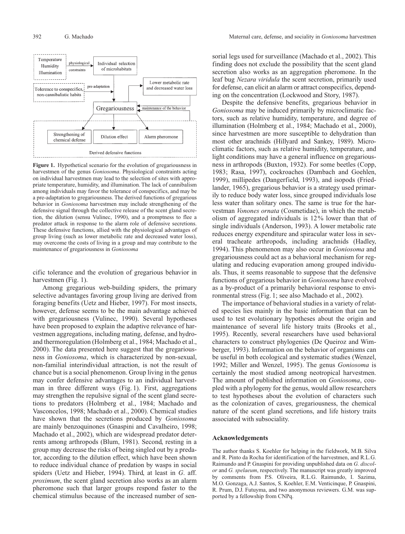

**Figure 1.** Hypothetical scenario for the evolution of gregariousness in harvestmen of the genus *Goniosoma*. Physiological constraints acting on individual harvestmen may lead to the selection of sites with appropriate temperature, humidity, and illumination. The lack of cannibalism among individuals may favor the tolerance of conspecifics, and may be a pre-adaptation to gregariousness. The derived functions of gregarious behavior in *Goniosoma* harvestmen may include strengthening of the defensive signal through the collective release of the scent gland secretion, the dilution (sensu Vulinec, 1990), and a promptness to flee a predator attack in response to the alarm role of defensive secretions. These defensive functions, allied with the physiological advantages of group living (such as lower metabolic rate and decreased water loss), may overcome the costs of living in a group and may contribute to the maintenance of gregariousness in *Goniosoma*

cific tolerance and the evolution of gregarious behavior in harvestmen (Fig. 1).

Among gregarious web-building spiders, the primary selective advantages favoring group living are derived from foraging benefits (Uetz and Hieber, 1997). For most insects, however, defense seems to be the main advantage achieved with gregariousness (Vulinec, 1990). Several hypotheses have been proposed to explain the adaptive relevance of harvestmen aggregations, including mating, defense, and hydroand thermoregulation (Holmberg et al., 1984; Machado et al., 2000). The data presented here suggest that the gregariousness in *Goniosoma*, which is characterized by non-sexual, non-familial interindividual attraction, is not the result of chance but is a social phenomenon. Group living in the genus may confer defensive advantages to an individual harvestman in three different ways (Fig. 1). First, aggregations may strengthen the repulsive signal of the scent gland secretions to predators (Holmberg et al., 1984; Machado and Vasconcelos, 1998; Machado et al., 2000). Chemical studies have shown that the secretions produced by *Goniosoma* are mainly benzoquinones (Gnaspini and Cavalheiro, 1998; Machado et al., 2002), which are widespread predator deterrents among arthropods (Blum, 1981). Second, resting in a group may decrease the risks of being singled out by a predator, according to the dilution effect, which have been shown to reduce individual chance of predation by wasps in social spiders (Uetz and Hieber, 1994). Third, at least in *G*. aff. *proximum*, the scent gland secretion also works as an alarm pheromone such that larger groups respond faster to the chemical stimulus because of the increased number of sensorial legs used for surveillance (Machado et al., 2002). This finding does not exclude the possibility that the scent gland secretion also works as an aggregation pheromone. In the leaf bug *Nezara viridula* the scent secretion, primarily used for defense, can elicit an alarm or attract conspecifics, depending on the concentration (Lockwood and Story, 1987).

Despite the defensive benefits, gregarious behavior in *Goniosoma* may be induced primarily by microclimatic factors, such as relative humidity, temperature, and degree of illumination (Holmberg et al., 1984; Machado et al., 2000), since harvestmen are more susceptible to dehydration than most other arachnids (Hillyard and Sankey, 1989). Microclimatic factors, such as relative humidity, temperature, and light conditions may have a general influence on gregariousness in arthropods (Buxton, 1932). For some beetles (Copp, 1983; Rasa, 1997), cockroaches (Dambach and Goehlen, 1999), millipedes (Dangerfield, 1993), and isopods (Friedlander, 1965), gregarious behavior is a strategy used primarily to reduce body water loss, since grouped individuals lose less water than solitary ones. The same is true for the harvestman *Vonones ornata* (Cosmetidae), in which the metabolism of aggregated individuals is 12% lower than that of single individuals (Anderson, 1993). A lower metabolic rate reduces energy expenditure and spiracular water loss in several tracheate arthropods, including arachnids (Hadley, 1994). This phenomenon may also occur in *Goniosoma* and gregariousness could act as a behavioral mechanism for regulating and reducing evaporation among grouped individuals. Thus, it seems reasonable to suppose that the defensive functions of gregarious behavior in *Goniosoma* have evolved as a by-product of a primarily behavioral response to environmental stress (Fig. 1; see also Machado et al., 2002).

The importance of behavioral studies in a variety of related species lies mainly in the basic information that can be used to test evolutionary hypotheses about the origin and maintenance of several life history traits (Brooks et al., 1995). Recently, several researchers have used behavioral characters to construct phylogenies (De Queiroz and Wimberger, 1993). Information on the behavior of organisms can be useful in both ecological and systematic studies (Wenzel, 1992; Miller and Wenzel, 1995). The genus *Goniosoma* is certainly the most studied among neotropical harvestmen. The amount of published information on *Goniosoma*, coupled with a phylogeny for the genus, would allow researchers to test hypotheses about the evolution of characters such as the colonization of caves, gregariousness, the chemical nature of the scent gland secretions, and life history traits associated with subsociality.

#### **Acknowledgements**

The author thanks S. Koehler for helping in the fieldwork, M.B. Silva and R. Pinto da Rocha for identification of the harvestmen, and R.L.G. Raimundo and P. Gnaspini for providing unpublished data on *G. discolor* and *G. spelaeum*, respectively. The manuscript was greatly improved by comments from P.S. Oliveira, R.L.G. Raimundo, I. Sazima, M.O. Gonzaga, A.J. Santos, S. Koehler, E.M. Venticinque, P. Gnaspini, R. Prum, D.J. Futuyma, and two anonymous reviewers. G.M. was supported by a fellowship from CNPq.